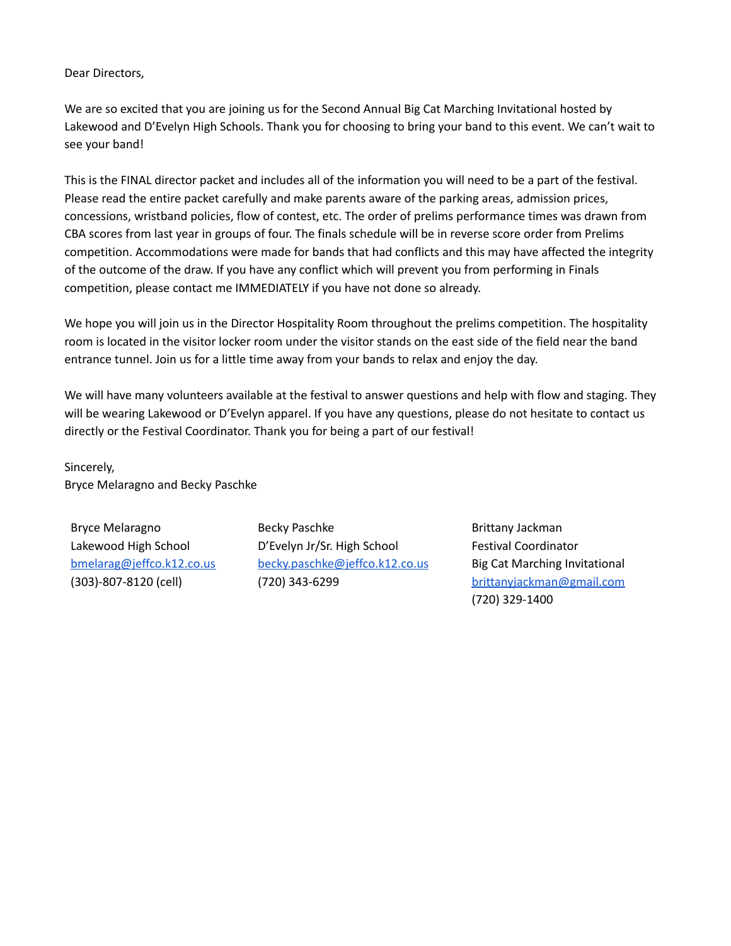#### Dear Directors,

We are so excited that you are joining us for the Second Annual Big Cat Marching Invitational hosted by Lakewood and D'Evelyn High Schools. Thank you for choosing to bring your band to this event. We can't wait to see your band!

This is the FINAL director packet and includes all of the information you will need to be a part of the festival. Please read the entire packet carefully and make parents aware of the parking areas, admission prices, concessions, wristband policies, flow of contest, etc. The order of prelims performance times was drawn from CBA scores from last year in groups of four. The finals schedule will be in reverse score order from Prelims competition. Accommodations were made for bands that had conflicts and this may have affected the integrity of the outcome of the draw. If you have any conflict which will prevent you from performing in Finals competition, please contact me IMMEDIATELY if you have not done so already.

We hope you will join us in the Director Hospitality Room throughout the prelims competition. The hospitality room is located in the visitor locker room under the visitor stands on the east side of the field near the band entrance tunnel. Join us for a little time away from your bands to relax and enjoy the day.

We will have many volunteers available at the festival to answer questions and help with flow and staging. They will be wearing Lakewood or D'Evelyn apparel. If you have any questions, please do not hesitate to contact us directly or the Festival Coordinator. Thank you for being a part of our festival!

Sincerely, Bryce Melaragno and Becky Paschke

Bryce Melaragno Lakewood High School [bmelarag@jeffco.k12.co.us](mailto:bmelarag@jeffco.k12.co.us) (303)-807-8120 (cell)

Becky Paschke D'Evelyn Jr/Sr. High School [becky.paschke@jeffco.k12.co.us](mailto:becky.paschke@jeffco.k12.co.us) (720) 343-6299

Brittany Jackman Festival Coordinator Big Cat Marching Invitational [brittanyjackman@gmail.com](mailto:brittanyjackman@gmail.com) (720) 329-1400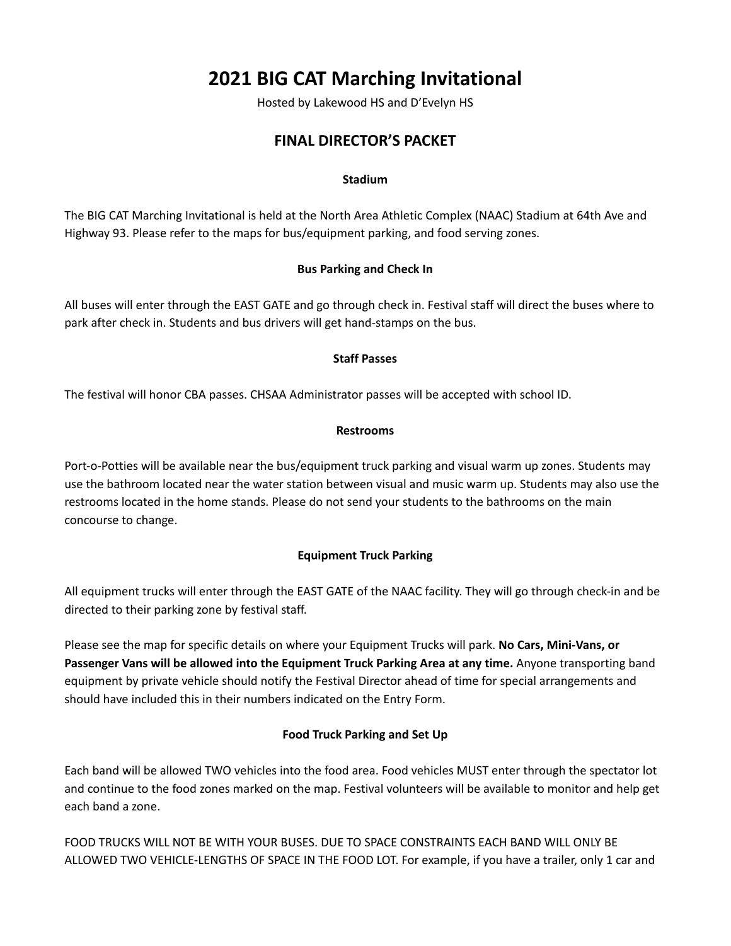# **2021 BIG CAT Marching Invitational**

Hosted by Lakewood HS and D'Evelyn HS

## **FINAL DIRECTOR'S PACKET**

#### **Stadium**

The BIG CAT Marching Invitational is held at the North Area Athletic Complex (NAAC) Stadium at 64th Ave and Highway 93. Please refer to the maps for bus/equipment parking, and food serving zones.

#### **Bus Parking and Check In**

All buses will enter through the EAST GATE and go through check in. Festival staff will direct the buses where to park after check in. Students and bus drivers will get hand-stamps on the bus.

#### **Staff Passes**

The festival will honor CBA passes. CHSAA Administrator passes will be accepted with school ID.

#### **Restrooms**

Port-o-Potties will be available near the bus/equipment truck parking and visual warm up zones. Students may use the bathroom located near the water station between visual and music warm up. Students may also use the restrooms located in the home stands. Please do not send your students to the bathrooms on the main concourse to change.

#### **Equipment Truck Parking**

All equipment trucks will enter through the EAST GATE of the NAAC facility. They will go through check-in and be directed to their parking zone by festival staff.

Please see the map for specific details on where your Equipment Trucks will park. **No Cars, Mini-Vans, or Passenger Vans will be allowed into the Equipment Truck Parking Area at any time.** Anyone transporting band equipment by private vehicle should notify the Festival Director ahead of time for special arrangements and should have included this in their numbers indicated on the Entry Form.

#### **Food Truck Parking and Set Up**

Each band will be allowed TWO vehicles into the food area. Food vehicles MUST enter through the spectator lot and continue to the food zones marked on the map. Festival volunteers will be available to monitor and help get each band a zone.

FOOD TRUCKS WILL NOT BE WITH YOUR BUSES. DUE TO SPACE CONSTRAINTS EACH BAND WILL ONLY BE ALLOWED TWO VEHICLE-LENGTHS OF SPACE IN THE FOOD LOT. For example, if you have a trailer, only 1 car and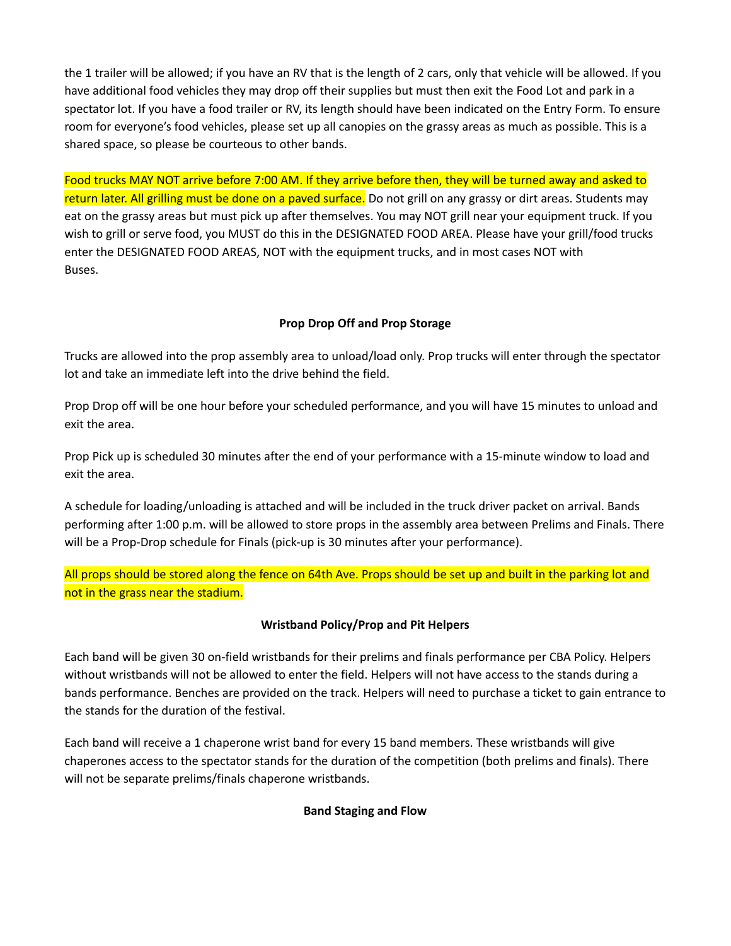the 1 trailer will be allowed; if you have an RV that is the length of 2 cars, only that vehicle will be allowed. If you have additional food vehicles they may drop off their supplies but must then exit the Food Lot and park in a spectator lot. If you have a food trailer or RV, its length should have been indicated on the Entry Form. To ensure room for everyone's food vehicles, please set up all canopies on the grassy areas as much as possible. This is a shared space, so please be courteous to other bands.

Food trucks MAY NOT arrive before 7:00 AM. If they arrive before then, they will be turned away and asked to return later. All grilling must be done on a paved surface. Do not grill on any grassy or dirt areas. Students may eat on the grassy areas but must pick up after themselves. You may NOT grill near your equipment truck. If you wish to grill or serve food, you MUST do this in the DESIGNATED FOOD AREA. Please have your grill/food trucks enter the DESIGNATED FOOD AREAS, NOT with the equipment trucks, and in most cases NOT with Buses.

#### **Prop Drop Off and Prop Storage**

Trucks are allowed into the prop assembly area to unload/load only. Prop trucks will enter through the spectator lot and take an immediate left into the drive behind the field.

Prop Drop off will be one hour before your scheduled performance, and you will have 15 minutes to unload and exit the area.

Prop Pick up is scheduled 30 minutes after the end of your performance with a 15-minute window to load and exit the area.

A schedule for loading/unloading is attached and will be included in the truck driver packet on arrival. Bands performing after 1:00 p.m. will be allowed to store props in the assembly area between Prelims and Finals. There will be a Prop-Drop schedule for Finals (pick-up is 30 minutes after your performance).

All props should be stored along the fence on 64th Ave. Props should be set up and built in the parking lot and not in the grass near the stadium.

#### **Wristband Policy/Prop and Pit Helpers**

Each band will be given 30 on-field wristbands for their prelims and finals performance per CBA Policy. Helpers without wristbands will not be allowed to enter the field. Helpers will not have access to the stands during a bands performance. Benches are provided on the track. Helpers will need to purchase a ticket to gain entrance to the stands for the duration of the festival.

Each band will receive a 1 chaperone wrist band for every 15 band members. These wristbands will give chaperones access to the spectator stands for the duration of the competition (both prelims and finals). There will not be separate prelims/finals chaperone wristbands.

#### **Band Staging and Flow**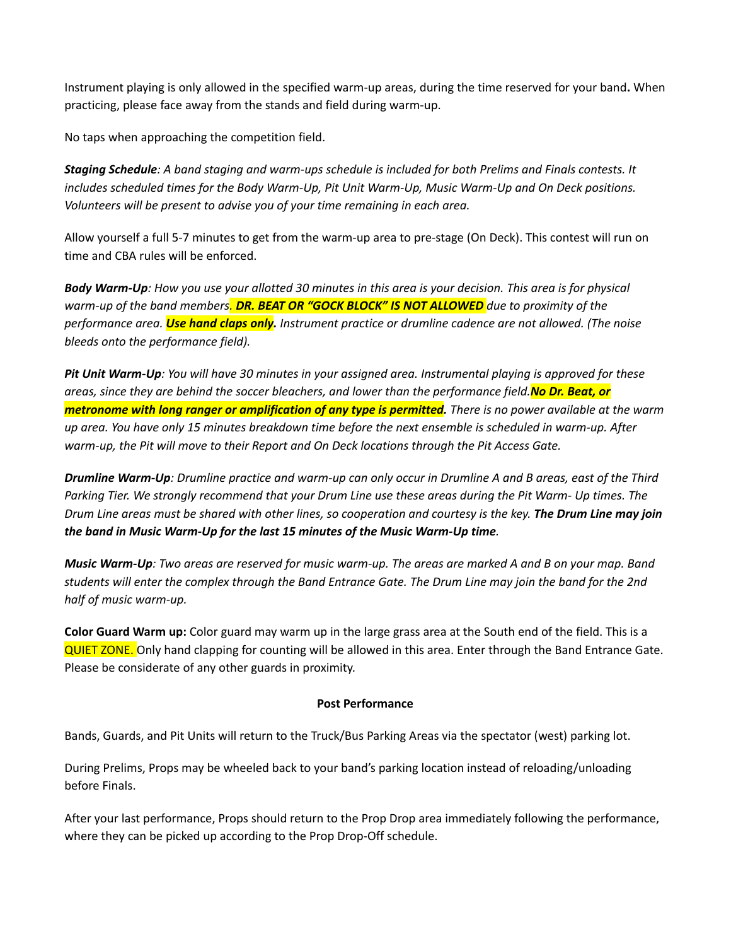Instrument playing is only allowed in the specified warm-up areas, during the time reserved for your band**.** When practicing, please face away from the stands and field during warm-up.

No taps when approaching the competition field.

Staging Schedule: A band staging and warm-ups schedule is included for both Prelims and Finals contests. It *includes scheduled times for the Body Warm-Up, Pit Unit Warm-Up, Music Warm-Up and On Deck positions. Volunteers will be present to advise you of your time remaining in each area.*

Allow yourself a full 5-7 minutes to get from the warm-up area to pre-stage (On Deck). This contest will run on time and CBA rules will be enforced.

Body Warm-Up: How you use your allotted 30 minutes in this area is your decision. This area is for physical *warm-up of the band members. DR. BEAT OR "GOCK BLOCK" IS NOT ALLOWED due to proximity of the performance area. Use hand claps only. Instrument practice or drumline cadence are not allowed. (The noise bleeds onto the performance field).*

Pit Unit Warm-Up: You will have 30 minutes in your assigned area. Instrumental playing is approved for these areas, since they are behind the soccer bleachers, and lower than the performance field. No Dr. Beat, or metronome with long ranger or amplification of any type is permitted. There is no power available at the warm up area. You have only 15 minutes breakdown time before the next ensemble is scheduled in warm-up. After *warm-up, the Pit will move to their Report and On Deck locations through the Pit Access Gate.*

**Drumline Warm-Up:** Drumline practice and warm-up can only occur in Drumline A and B areas, east of the Third Parking Tier. We strongly recommend that your Drum Line use these areas during the Pit Warm- Up times. The Drum Line areas must be shared with other lines, so cooperation and courtesy is the key. The Drum Line may join *the band in Music Warm-Up for the last 15 minutes of the Music Warm-Up time.*

Music Warm-Up: Two areas are reserved for music warm-up. The areas are marked A and B on your map. Band students will enter the complex through the Band Entrance Gate. The Drum Line may join the band for the 2nd *half of music warm-up.*

**Color Guard Warm up:** Color guard may warm up in the large grass area at the South end of the field. This is a QUIET ZONE. Only hand clapping for counting will be allowed in this area. Enter through the Band Entrance Gate. Please be considerate of any other guards in proximity.

#### **Post Performance**

Bands, Guards, and Pit Units will return to the Truck/Bus Parking Areas via the spectator (west) parking lot.

During Prelims, Props may be wheeled back to your band's parking location instead of reloading/unloading before Finals.

After your last performance, Props should return to the Prop Drop area immediately following the performance, where they can be picked up according to the Prop Drop-Off schedule.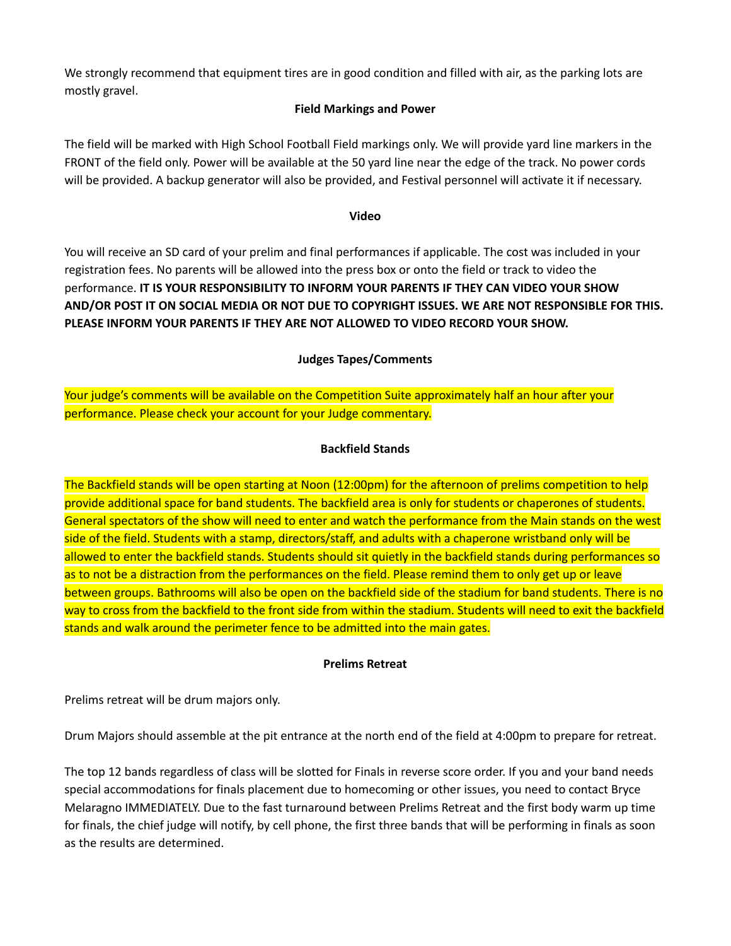We strongly recommend that equipment tires are in good condition and filled with air, as the parking lots are mostly gravel.

#### **Field Markings and Power**

The field will be marked with High School Football Field markings only. We will provide yard line markers in the FRONT of the field only. Power will be available at the 50 yard line near the edge of the track. No power cords will be provided. A backup generator will also be provided, and Festival personnel will activate it if necessary.

#### **Video**

You will receive an SD card of your prelim and final performances if applicable. The cost was included in your registration fees. No parents will be allowed into the press box or onto the field or track to video the performance. **IT IS YOUR RESPONSIBILITY TO INFORM YOUR PARENTS IF THEY CAN VIDEO YOUR SHOW AND/OR POST IT ON SOCIAL MEDIA OR NOT DUE TO COPYRIGHT ISSUES. WE ARE NOT RESPONSIBLE FOR THIS. PLEASE INFORM YOUR PARENTS IF THEY ARE NOT ALLOWED TO VIDEO RECORD YOUR SHOW.**

#### **Judges Tapes/Comments**

## Your judge's comments will be available on the Competition Suite approximately half an hour after your performance. Please check your account for your Judge commentary.

#### **Backfield Stands**

The Backfield stands will be open starting at Noon (12:00pm) for the afternoon of prelims competition to help provide additional space for band students. The backfield area is only for students or chaperones of students. General spectators of the show will need to enter and watch the performance from the Main stands on the west side of the field. Students with a stamp, directors/staff, and adults with a chaperone wristband only will be allowed to enter the backfield stands. Students should sit quietly in the backfield stands during performances so as to not be a distraction from the performances on the field. Please remind them to only get up or leave between groups. Bathrooms will also be open on the backfield side of the stadium for band students. There is no way to cross from the backfield to the front side from within the stadium. Students will need to exit the backfield stands and walk around the perimeter fence to be admitted into the main gates.

#### **Prelims Retreat**

Prelims retreat will be drum majors only.

Drum Majors should assemble at the pit entrance at the north end of the field at 4:00pm to prepare for retreat.

The top 12 bands regardless of class will be slotted for Finals in reverse score order. If you and your band needs special accommodations for finals placement due to homecoming or other issues, you need to contact Bryce Melaragno IMMEDIATELY. Due to the fast turnaround between Prelims Retreat and the first body warm up time for finals, the chief judge will notify, by cell phone, the first three bands that will be performing in finals as soon as the results are determined.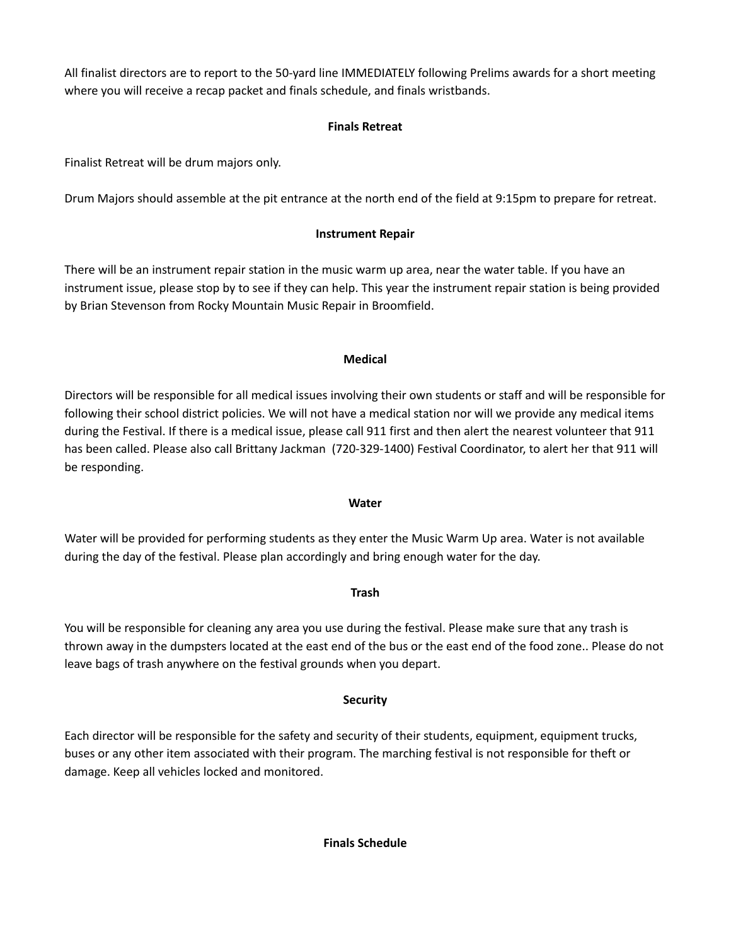All finalist directors are to report to the 50-yard line IMMEDIATELY following Prelims awards for a short meeting where you will receive a recap packet and finals schedule, and finals wristbands.

## **Finals Retreat**

Finalist Retreat will be drum majors only.

Drum Majors should assemble at the pit entrance at the north end of the field at 9:15pm to prepare for retreat.

## **Instrument Repair**

There will be an instrument repair station in the music warm up area, near the water table. If you have an instrument issue, please stop by to see if they can help. This year the instrument repair station is being provided by Brian Stevenson from Rocky Mountain Music Repair in Broomfield.

#### **Medical**

Directors will be responsible for all medical issues involving their own students or staff and will be responsible for following their school district policies. We will not have a medical station nor will we provide any medical items during the Festival. If there is a medical issue, please call 911 first and then alert the nearest volunteer that 911 has been called. Please also call Brittany Jackman (720-329-1400) Festival Coordinator, to alert her that 911 will be responding.

#### **Water**

Water will be provided for performing students as they enter the Music Warm Up area. Water is not available during the day of the festival. Please plan accordingly and bring enough water for the day.

#### **Trash**

You will be responsible for cleaning any area you use during the festival. Please make sure that any trash is thrown away in the dumpsters located at the east end of the bus or the east end of the food zone.. Please do not leave bags of trash anywhere on the festival grounds when you depart.

## **Security**

Each director will be responsible for the safety and security of their students, equipment, equipment trucks, buses or any other item associated with their program. The marching festival is not responsible for theft or damage. Keep all vehicles locked and monitored.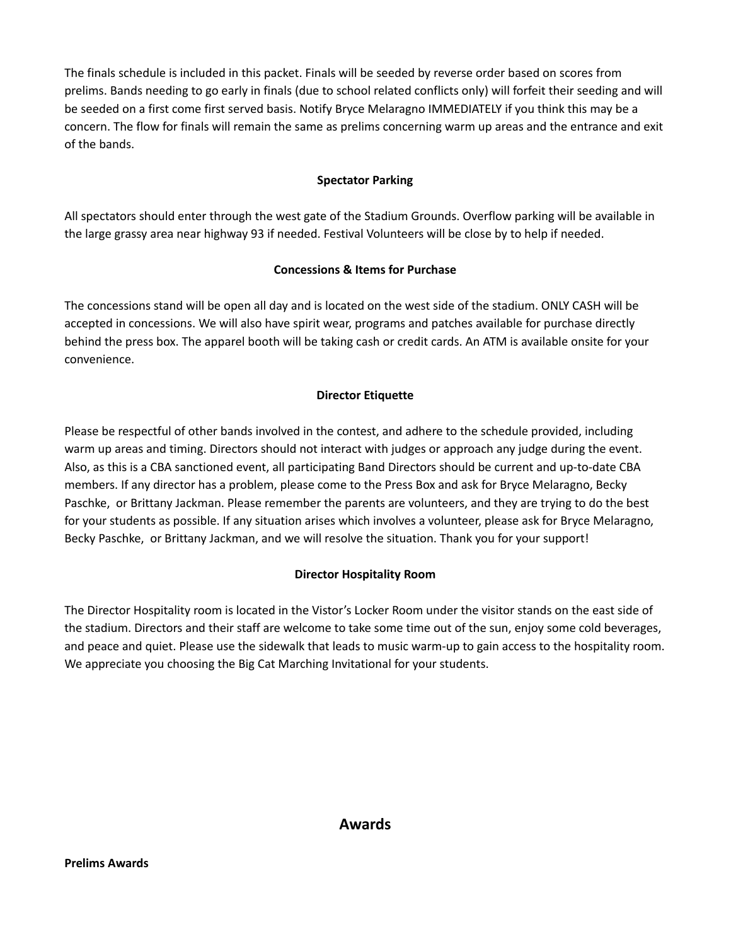The finals schedule is included in this packet. Finals will be seeded by reverse order based on scores from prelims. Bands needing to go early in finals (due to school related conflicts only) will forfeit their seeding and will be seeded on a first come first served basis. Notify Bryce Melaragno IMMEDIATELY if you think this may be a concern. The flow for finals will remain the same as prelims concerning warm up areas and the entrance and exit of the bands.

#### **Spectator Parking**

All spectators should enter through the west gate of the Stadium Grounds. Overflow parking will be available in the large grassy area near highway 93 if needed. Festival Volunteers will be close by to help if needed.

#### **Concessions & Items for Purchase**

The concessions stand will be open all day and is located on the west side of the stadium. ONLY CASH will be accepted in concessions. We will also have spirit wear, programs and patches available for purchase directly behind the press box. The apparel booth will be taking cash or credit cards. An ATM is available onsite for your convenience.

#### **Director Etiquette**

Please be respectful of other bands involved in the contest, and adhere to the schedule provided, including warm up areas and timing. Directors should not interact with judges or approach any judge during the event. Also, as this is a CBA sanctioned event, all participating Band Directors should be current and up-to-date CBA members. If any director has a problem, please come to the Press Box and ask for Bryce Melaragno, Becky Paschke, or Brittany Jackman. Please remember the parents are volunteers, and they are trying to do the best for your students as possible. If any situation arises which involves a volunteer, please ask for Bryce Melaragno, Becky Paschke, or Brittany Jackman, and we will resolve the situation. Thank you for your support!

#### **Director Hospitality Room**

The Director Hospitality room is located in the Vistor's Locker Room under the visitor stands on the east side of the stadium. Directors and their staff are welcome to take some time out of the sun, enjoy some cold beverages, and peace and quiet. Please use the sidewalk that leads to music warm-up to gain access to the hospitality room. We appreciate you choosing the Big Cat Marching Invitational for your students.